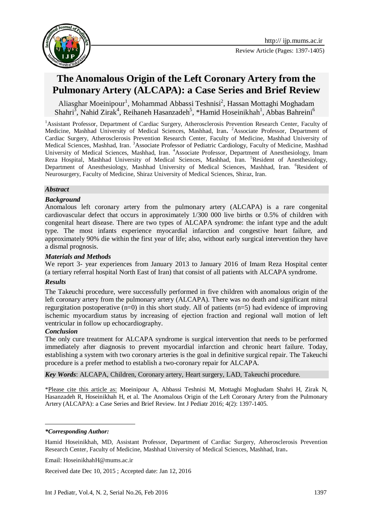

# **The Anomalous Origin of the Left Coronary Artery from the Pulmonary Artery (ALCAPA): a Case Series and Brief Review**

Aliasghar Moeinipour<sup>1</sup>, Mohammad Abbassi Teshnisi<sup>2</sup>, Hassan Mottaghi Moghadam Shahri<sup>3</sup>, Nahid Zirak<sup>4</sup>, Reihaneh Hasanzadeh<sup>5</sup>, \*Hamid Hoseinikhah<sup>1</sup>, Abbas Bahreini<sup>6</sup>

<sup>1</sup> Assistant Professor, Department of Cardiac Surgery, Atherosclerosis Prevention Research Center, Faculty of Medicine, Mashhad University of Medical Sciences, Mashhad, Iran**.** <sup>2</sup>Associate Professor, Department of Cardiac Surgery, Atherosclerosis Prevention Research Center, Faculty of Medicine, Mashhad University of Medical Sciences, Mashhad, Iran. <sup>3</sup>Associate Professor of Pediatric Cardiology, Faculty of Medicine, Mashhad University of Medical Sciences, Mashhad, Iran. <sup>4</sup>Associate Professor, Department of Anesthesiology, Imam Reza Hospital, Mashhad University of Medical Sciences, Mashhad, Iran. <sup>5</sup>Resident of Anesthesiology, Department of Anesthesiology, Mashhad University of Medical Sciences, Mashhad, Iran. <sup>6</sup>Resident of Neurosurgery, Faculty of Medicine, Shiraz University of Medical Sciences, Shiraz, Iran.

#### *Abstract*

#### *Background*

Anomalous left coronary artery from the pulmonary artery (ALCAPA) is a rare congenital cardiovascular defect that occurs in approximately 1/300 000 live births or 0.5% of children with congenital heart disease. There are two types of ALCAPA syndrome: the infant type and the adult type. The most infants experience myocardial infarction and congestive heart failure, and approximately 90% die within the first year of life; also, without early surgical intervention they have a dismal prognosis.

#### *Materials and Methods*

We report 3- year experiences from January 2013 to January 2016 of Imam Reza Hospital center (a tertiary referral hospital North East of Iran) that consist of all patients with ALCAPA syndrome.

#### *Results*

The Takeuchi procedure, were successfully performed in five children with anomalous origin of the left coronary artery from the pulmonary artery (ALCAPA). There was no death and significant mitral regurgitation postoperative (n=0) in this short study. All of patients (n=5) had evidence of improving ischemic myocardium status by increasing of ejection fraction and regional wall motion of left ventricular in follow up echocardiography.

#### *Conclusion*

The only cure treatment for ALCAPA syndrome is surgical intervention that needs to be performed immediately after diagnosis to prevent myocardial infarction and chronic heart failure. Today, establishing a system with two coronary arteries is the goal in definitive surgical repair. The Takeuchi procedure is a prefer method to establish a two-coronary repair for ALCAPA.

*Key Words*: ALCAPA, Children, Coronary artery, Heart surgery, LAD, Takeuchi procedure.

\*Please cite this article as: Moeinipour A, Abbassi Teshnisi M, Mottaghi Moghadam Shahri H, Zirak N, Hasanzadeh R, Hoseinikhah H, et al. The Anomalous Origin of the Left Coronary Artery from the Pulmonary Artery (ALCAPA): a Case Series and Brief Review. Int J Pediatr 2016; 4(2): 1397-1405.

**.** 

Email: [HoseinikhahH@mums.ac.ir](mailto:HoseinikhahH@mums.ac.ir)

Received date Dec 10, 2015 ; Accepted date: Jan 12, 2016

*<sup>\*</sup>Corresponding Author:*

Hamid Hoseinikhah, MD, Assistant Professor, Department of Cardiac Surgery, Atherosclerosis Prevention Research Center, Faculty of Medicine, Mashhad University of Medical Sciences, Mashhad, Iran**.**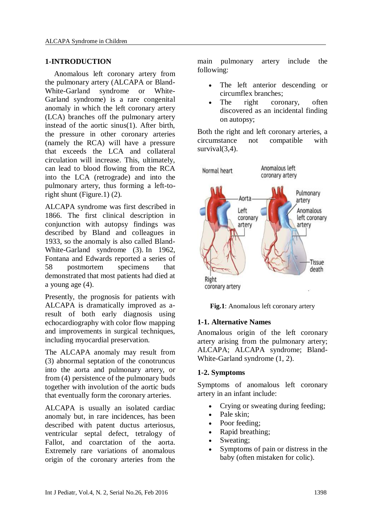#### **1-INTRODUCTION**

Anomalous left coronary artery from the pulmonary artery (ALCAPA or Bland-White-Garland syndrome or White-Garland syndrome) is a rare congenital anomaly in which the left coronary artery (LCA) branches off the pulmonary artery instead of the aortic sinus(1). After birth, the pressure in other coronary arteries (namely the RCA) will have a pressure that exceeds the LCA and collateral circulation will increase. This, ultimately, can lead to blood flowing from the RCA into the LCA (retrograde) and into the pulmonary artery, thus forming a left-toright shunt (Figure.1) (2).

ALCAPA syndrome was first described in 1866. The first clinical description in conjunction with autopsy findings was described by Bland and colleagues in 1933, so the anomaly is also called Bland-White-Garland syndrome (3). In 1962, Fontana and Edwards reported a series of 58 postmortem specimens that demonstrated that most patients had died at a young age (4).

Presently, the prognosis for patients with ALCAPA is dramatically improved as aresult of both early diagnosis using echocardiography with color flow mapping and improvements in surgical techniques, including myocardial preservation.

The ALCAPA anomaly may result from (3) abnormal septation of the conotruncus into the aorta and pulmonary artery, or from (4) persistence of the pulmonary buds together with involution of the aortic buds that eventually form the coronary arteries.

ALCAPA is usually an isolated cardiac anomaly but, in rare incidences, has been described with patent ductus arteriosus, ventricular septal defect, tetralogy of Fallot, and coarctation of the aorta. Extremely rare variations of anomalous origin of the coronary arteries from the

main pulmonary artery include the following:

- The left anterior descending or circumflex branches;
- The right coronary, often discovered as an incidental finding on autopsy;

Both the right and left coronary arteries, a circumstance not compatible with survival(3.4).



**Fig.1**: Anomalous left coronary artery

## **1-1. Alternative Names**

Anomalous origin of the left coronary artery arising from the pulmonary artery; ALCAPA; ALCAPA syndrome; Bland-White-Garland syndrome (1, 2).

#### **1-2. Symptoms**

Symptoms of anomalous left coronary artery in an infant include:

- Crying or sweating during feeding;
- Pale skin:
- Poor feeding:
- Rapid breathing;
- Sweating;
- Symptoms of pain or distress in the baby (often mistaken for colic).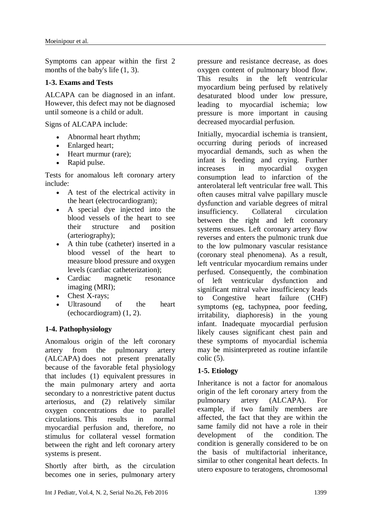Symptoms can appear within the first 2 months of the baby's life (1, 3).

# **1-3. Exams and Tests**

ALCAPA can be diagnosed in an infant. However, this defect may not be diagnosed until someone is a child or adult.

Signs of ALCAPA include:

- Abnormal heart rhythm;
- Enlarged heart;
- Heart murmur (rare);
- Rapid pulse.

Tests for anomalous left coronary artery include:

- A test of the electrical activity in the heart (electrocardiogram);
- A special dye injected into the blood vessels of the heart to see their structure and position (arteriography);
- A thin tube (catheter) inserted in a blood vessel of the heart to measure blood pressure and oxygen levels (cardiac catheterization);
- Cardiac magnetic resonance imaging (MRI);
- Chest X-rays;
- Ultrasound of the heart (echocardiogram) (1, 2).

# **1-4. Pathophysiology**

Anomalous origin of the left coronary artery from the pulmonary artery (ALCAPA) does not present prenatally because of the favorable fetal physiology that includes (1) equivalent pressures in the main pulmonary artery and aorta secondary to a nonrestrictive patent ductus arteriosus, and (2) relatively similar oxygen concentrations due to parallel circulations. This results in normal myocardial perfusion and, therefore, no stimulus for collateral vessel formation between the right and left coronary artery systems is present.

Shortly after birth, as the circulation becomes one in series, pulmonary artery

pressure and resistance decrease, as does oxygen content of pulmonary blood flow. This results in the left ventricular myocardium being perfused by relatively desaturated blood under low pressure, leading to myocardial ischemia; low pressure is more important in causing decreased myocardial perfusion.

Initially, myocardial ischemia is transient, occurring during periods of increased myocardial demands, such as when the infant is feeding and crying. Further increases in myocardial oxygen consumption lead to infarction of the anterolateral left ventricular free wall. This often causes mitral valve papillary muscle dysfunction and variable degrees of mitral insufficiency. Collateral circulation between the right and left coronary systems ensues. Left coronary artery flow reverses and enters the pulmonic trunk due to the low pulmonary vascular resistance (coronary steal phenomena). As a result, left ventricular myocardium remains under perfused. Consequently, the combination of left ventricular dysfunction and significant mitral valve insufficiency leads to Congestive heart failure (CHF) symptoms (eg, tachypnea, poor feeding, irritability, diaphoresis) in the young infant. Inadequate myocardial perfusion likely causes significant chest pain and these symptoms of myocardial ischemia may be misinterpreted as routine infantile colic (5).

# **1-5. Etiology**

Inheritance is not a factor for anomalous origin of the left coronary artery from the pulmonary artery (ALCAPA). For example, if two family members are affected, the fact that they are within the same family did not have a role in their development of the condition. The condition is generally considered to be on the basis of multifactorial inheritance, similar to other congenital heart defects. In utero exposure to teratogens, chromosomal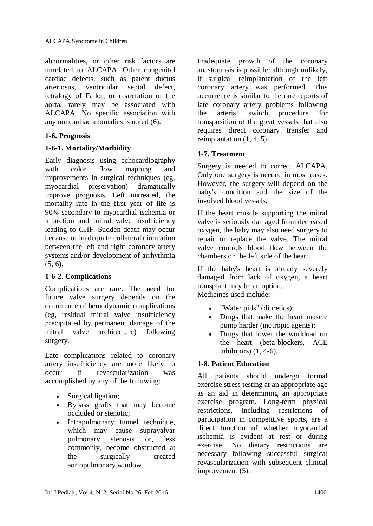abnormalities, or other risk factors are unrelated to ALCAPA. Other congenital cardiac defects, such as patent ductus arteriosus, ventricular septal defect, tetralogy of Fallot, or coarctation of the aorta, rarely may be associated with ALCAPA. No specific association with any noncardiac anomalies is noted (6)[.](javascript:showrefcontent()

#### **1-6. Prognosis**

#### **1-6-1. Mortality/Morbidity**

Early diagnosis using echocardiography with color flow mapping and improvements in surgical techniques (eg, myocardial preservation) dramatically improve prognosis. Left untreated, the mortality rate in the first year of life is 90% secondary to myocardial ischemia or infarction and mitral valve insufficiency leading to CHF. Sudden death may occur because of inadequate collateral circulation between the left and right coronary artery systems and/or development of arrhythmia (5, 6).

## **1-6-2. Complications**

Complications are rare. The need for future valve surgery depends on the occurrence of hemodynamic complications (eg, residual mitral valve insufficiency precipitated by permanent damage of the mitral valve architecture) following surgery.

Late complications related to coronary artery insufficiency are more likely to occur if revascularization was accomplished by any of the following:

- Surgical ligation;
- Bypass grafts that may become occluded or stenotic;
- Intrapulmonary tunnel technique, which may cause supravalvar pulmonary stenosis or, less commonly, become obstructed at the surgically created aortopulmonary window.

Inadequate growth of the coronary anastomosis is possible, although unlikely, if surgical reimplantation of the left coronary artery was performed. This occurrence is similar to the rare reports of late coronary artery problems following the arterial switch procedure for transposition of the great vessels that also requires direct coronary transfer and reimplantation (1, 4, 5).

#### **1-7. Treatment**

Surgery is needed to correct ALCAPA. Only one surgery is needed in most cases. However, the surgery will depend on the baby's condition and the size of the involved blood vessels.

If the heart muscle supporting the mitral valve is seriously damaged from decreased oxygen, the baby may also need surgery to repair or replace the valve. The mitral valve controls blood flow between the chambers on the left side of the heart.

If the baby's heart is already severely damaged from lack of oxygen, a heart transplant may be an option. Medicines used include:

- "Water pills" (diuretics);
- Drugs that make the heart muscle pump harder (inotropic agents);
- Drugs that lower the workload on the heart (beta-blockers, ACE inhibitors) (1, 4-6).

#### **1-8. Patient Education**

All patients should undergo formal exercise stress testing at an appropriate age as an aid in determining an appropriate exercise program. Long-term physical restrictions, including restrictions of participation in competitive sports, are a direct function of whether myocardial ischemia is evident at rest or during exercise. No dietary restrictions are necessary following successful surgical revascularization with subsequent clinical improvement (5).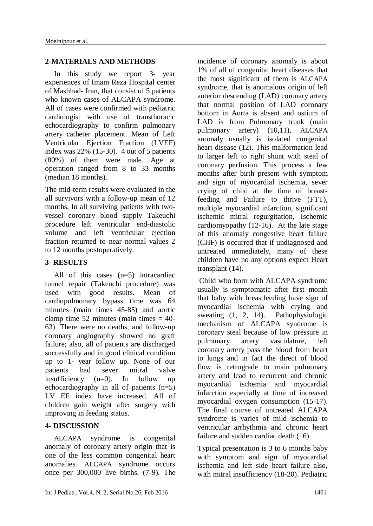#### **2-MATERIALS AND METHODS**

In this study we report 3- year experiences of Imam Reza Hospital center of Mashhad- Iran, that consist of 5 patients who known cases of ALCAPA syndrome. All of cases were confirmed with pediatric cardiologist with use of transthoracic echocardiography to confirm pulmonary artery catheter placement. Mean of Left Ventricular Ejection Fraction (LVEF) index was 22% (15-30). 4 out of 5 patients (80%) of them were male. Age at operation ranged from 8 to 33 months (median 18 months).

The mid-term results were evaluated in the all survivors with a follow-up mean of 12 months. In all surviving patients with twovessel coronary blood supply Takeuchi procedure left ventricular end-diastolic volume and left ventricular ejection fraction returned to near normal values 2 to 12 months postoperatively.

# **3- RESULTS**

All of this cases (n=5) intracardiac tunnel repair (Takeuchi procedure) was used with good results. Mean of cardiopulmonary bypass time was 64 minutes (main times 45-85) and aortic clamp time 52 minutes (main times  $=$  40-63). There were no deaths, and follow-up coronary angiography showed no graft failure; also, all of patients are discharged successfully and in good clinical condition up to 1- year follow up. None of our patients had sever mitral valve insufficiency (n=0). In follow up echocardiography in all of patients (n=5) LV EF index have increased. All of children gain weight after surgery with improving in feeding status.

## **4- DISCUSSION**

ALCAPA syndrome is congenital anomaly of coronary artery origin that is one of the less common congenital heart anomalies. ALCAPA syndrome occurs once per 300,000 live births. (7-9). The

incidence of coronary anomaly is about 1% of all of congenital heart diseases that the most significant of them is ALCAPA syndrome, that is anomalous origin of left anterior descending (LAD) coronary artery that normal position of LAD coronary bottom in Aorta is absent and ostium of LAD is from Pulmonary trunk (main pulmonary artery) (10,11). ALCAPA anomaly usually is isolated congenital heart disease (12). This malformation lead to larger left to right shunt with steal of coronary perfusion. This process a few months after birth present with symptom and sign of myocardial ischemia, sever crying of child at the time of breastfeeding and Failure to thrive (FTT), multiple myocardial infarction, significant ischemic mitral regurgitation, Ischemic cardiomyopathy (12-16). At the late stage of this anomaly congestive heart failure (CHF) is occurred that if undiagnosed and untreated immediately, many of these children have no any options expect Heart transplant (14).

Child who born with ALCAPA syndrome usually is symptomatic after first month that baby with breastfeeding have sign of myocardial ischemia with crying and sweating  $(1, 2, 14)$ . Pathophysiologic mechanism of ALCAPA syndrome is coronary steal because of low pressure in pulmonary artery vasculature, left coronary artery pass the blood from heart to lungs and in fact the direct of blood flow is retrograde to main pulmonary artery and lead to recurrent and chronic myocardial ischemia and myocardial infarction especially at time of increased myocardial oxygen consumption (15-17). The final course of untreated ALCAPA syndrome is varies of mild ischemia to ventricular arrhythmia and chronic heart failure and sudden cardiac death (16).

Typical presentation is 3 to 6 months baby with symptom and sign of myocardial ischemia and left side heart failure also, with mitral insufficiency (18-20). Pediatric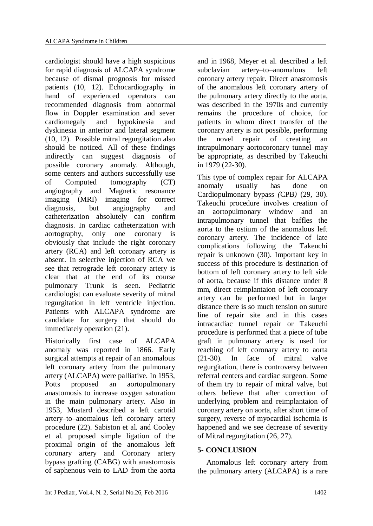cardiologist should have a high suspicious for rapid diagnosis of ALCAPA syndrome because of dismal prognosis for missed patients (10, 12). Echocardiography in hand of experienced operators can recommended diagnosis from abnormal flow in Doppler examination and sever cardiomegaly and hypokinesia and dyskinesia in anterior and lateral segment (10, 12). Possible mitral regurgitation also should be noticed. All of these findings indirectly can suggest diagnosis of possible coronary anomaly. Although, some centers and authors successfully use of Computed tomography (CT) angiography and Magnetic resonance imaging (MRI) imaging for correct diagnosis, but angiography and catheterization absolutely can confirm diagnosis. In cardiac catheterization with aortography, only one coronary is obviously that include the right coronary artery (RCA) and left coronary artery is absent. In selective injection of RCA we see that retrograde left coronary artery is clear that at the end of its course pulmonary Trunk is seen. Pediatric cardiologist can evaluate severity of mitral regurgitation in left ventricle injection. Patients with ALCAPA syndrome are candidate for surgery that should do immediately operation (21).

Historically first case of ALCAPA anomaly was reported in 1866. Early surgical attempts at repair of an anomalous left coronary artery from the pulmonary artery (ALCAPA) were palliative. In 1953, Potts proposed an aortopulmonary anastomosis to increase oxygen saturation in the main pulmonary artery. Also in 1953, Mustard described a left carotid artery–to–anomalous left coronary artery procedure (22). Sabiston et al. and Cooley et al. proposed simple ligation of the proximal origin of the anomalous left coronary artery and Coronary artery bypass grafting (CABG) with anastomosis of saphenous vein to LAD from the aorta

and in 1968, Meyer et al. described a left subclavian artery–to–anomalous left coronary artery repair. Direct anastomosis of the anomalous left coronary artery of the pulmonary artery directly to the aorta, was described in the 1970s and currently remains the procedure of choice, for patients in whom direct transfer of the coronary artery is not possible, performing the novel repair of creating an intrapulmonary aortocoronary tunnel may be appropriate, as described by Takeuchi in 1979 (22-30).

This type of complex repair for ALCAPA anomaly usually has done on Cardiopulmonary bypass *(*CPB*)* (29, 30). Takeuchi procedure involves creation of an aortopulmonary window and an intrapulmonary tunnel that baffles the aorta to the ostium of the anomalous left coronary artery. The incidence of late complications following the Takeuchi repair is unknown (30). Important key in success of this procedure is destination of bottom of left coronary artery to left side of aorta, because if this distance under 8 mm, direct reimplantaion of left coronary artery can be performed but in larger distance there is so much tension on suture line of repair site and in this cases intracardiac tunnel repair or Takeuchi procedure is performed that a piece of tube graft in pulmonary artery is used for reaching of left coronary artery to aorta (21-30). In face of mitral valve regurgitation, there is controversy between referral centers and cardiac surgeon. Some of them try to repair of mitral valve, but others believe that after correction of underlying problem and reimplantaion of coronary artery on aorta, after short time of surgery, reverse of myocardial ischemia is happened and we see decrease of severity of Mitral regurgitation (26, 27).

# **5- CONCLUSION**

Anomalous left coronary artery from the pulmonary artery (ALCAPA) is a rare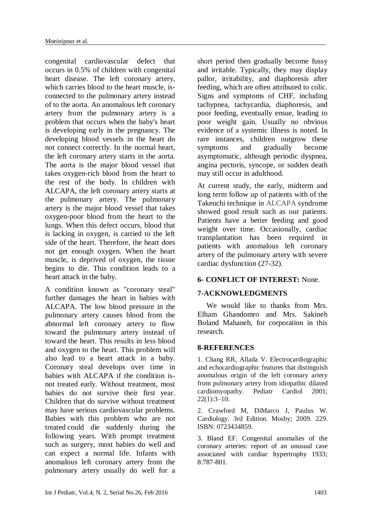congenital cardiovascular defect that occurs in 0.5% of children with congenital heart disease. The left coronary artery, which carries blood to the heart muscle, isconnected to the pulmonary artery instead of to the aorta. An anomalous left coronary artery from the pulmonary artery is a problem that occurs when the baby's heart is developing early in the pregnancy. The developing blood vessels in the heart do not connect correctly. In the normal heart, the left coronary artery starts in the aorta. The aorta is the major blood vessel that takes oxygen-rich blood from the heart to the rest of the body. In children with ALCAPA, the left coronary artery starts at the pulmonary artery. The pulmonary artery is the major blood vessel that takes oxygen-poor blood from the heart to the lungs. When this defect occurs, blood that is lacking in oxygen, is carried to the left side of the heart. Therefore, the heart does not get enough oxygen. When the heart muscle, is deprived of oxygen, the tissue begins to die. This condition leads to a heart attack in the baby.

A condition known as "coronary steal" further damages the heart in babies with ALCAPA. The low blood pressure in the pulmonary artery causes blood from the abnormal left coronary artery to flow toward the pulmonary artery instead of toward the heart. This results in less blood and oxygen to the heart. This problem will also lead to a heart attack in a baby. Coronary steal develops over time in babies with ALCAPA if the condition isnot treated early. Without treatment, most babies do not survive their first year. Children that do survive without treatment may have serious cardiovascular problems. Babies with this problem who are not treated could die suddenly during the following years. With prompt treatment such as surgery, most babies do well and can expect a normal life. Infants with anomalous left coronary artery from the pulmonary artery usually do well for a

short period then gradually become fussy and irritable. Typically, they may display pallor, irritability, and diaphoresis after feeding, which are often attributed to colic. Signs and symptoms of CHF, including tachypnea, tachycardia, diaphoresis, and poor feeding, eventually ensue, leading to poor weight gain. Usually no obvious evidence of a systemic illness is noted. In rare instances, children outgrow these symptoms and gradually become asymptomatic, although periodic dyspnea, angina pectoris, syncope, or sudden death may still occur in adulthood.

At current study, the early, midterm and long term follow up of patients with of the Takeuchi technique in ALCAPA syndrome showed good result such as our patients. Patients have a better feeding and good weight over time. Occasionally, cardiac transplantation has been required in patients with anomalous left coronary artery of the pulmonary artery with severe cardiac dysfunction (27-32).

## **6- CONFLICT OF INTEREST:** None.

## **7-ACKNOWLEDGMENTS**

We would like to thanks from Mrs. Elham Ghandomro and Mrs. Sakineh Boland Mahaneh, for corporation in this research.

## **8-REFERENCES**

1. Chang RR, Allada V. Electrocardiographic and echocardiographic features that distinguish anomalous origin of the left coronary artery from pulmonary artery from idiopathic dilated cardiomyopathy. Pediatr Cardiol 2001;  $22(1):3-10.$ 

2. Crawford M, DiMarco J, Paulus W. Cardiology. 3rd Edition. Mosby; 2009. 229. [ISBN:](https://en.wikipedia.org/wiki/International_Standard_Book_Number) [0723434859.](https://en.wikipedia.org/wiki/Special:BookSources/0723434859)

3. Bland EF. Congenital anomalies of the coronary arteries: report of an unusual case associated with cardiac hypertrophy 1933; 8:787-801.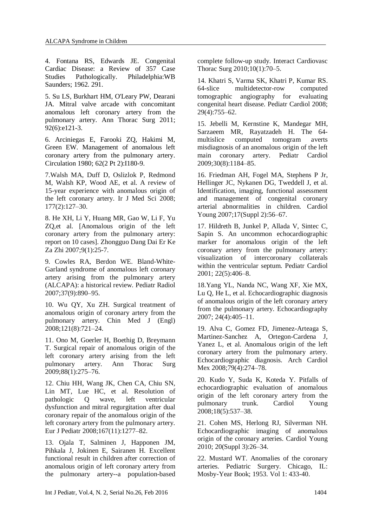4. Fontana RS, Edwards JE. Congenital Cardiac Disease: a Review of 357 Case Studies Pathologically. Philadelphia:WB Saunders; 1962. 291.

5. Su LS, Burkhart HM, O'Leary PW, Dearani JA. Mitral valve arcade with concomitant anomalous left coronary artery from the pulmonary artery. Ann Thorac Surg 2011; 92(6):e121-3.

6. Arciniegas E, Farooki ZQ, Hakimi M, Green EW. Management of anomalous left coronary artery from the pulmonary artery. Circulation 1980; 62(2 Pt 2):I180-9.

7.Walsh MA, Duff D, Oslizlok P, Redmond M, Walsh KP, Wood AE, et al. A review of 15-year experience with anomalous origin of the left coronary artery. Ir J Med Sci 2008; 177(2):127–30.

8. He [XH,](http://www.ncbi.nlm.nih.gov/pubmed/?term=He%20XH%5BAuthor%5D&cauthor=true&cauthor_uid=17306072) Li [Y,](http://www.ncbi.nlm.nih.gov/pubmed/?term=Li%20Y%5BAuthor%5D&cauthor=true&cauthor_uid=17306072) [Huang](http://www.ncbi.nlm.nih.gov/pubmed/?term=Huang%20MR%5BAuthor%5D&cauthor=true&cauthor_uid=17306072) MR, [Gao](http://www.ncbi.nlm.nih.gov/pubmed/?term=Gao%20W%5BAuthor%5D&cauthor=true&cauthor_uid=17306072) W, [Li](http://www.ncbi.nlm.nih.gov/pubmed/?term=Li%20F%5BAuthor%5D&cauthor=true&cauthor_uid=17306072) F, [Yu](http://www.ncbi.nlm.nih.gov/pubmed/?term=Yu%20ZQ%5BAuthor%5D&cauthor=true&cauthor_uid=17306072) [ZQ,](http://www.ncbi.nlm.nih.gov/pubmed/?term=Yu%20ZQ%5BAuthor%5D&cauthor=true&cauthor_uid=17306072)et al. [Anomalous origin of the left coronary artery from the pulmonary artery: report on 10 cases]. [Zhongguo](http://www.ncbi.nlm.nih.gov/pubmed/?term=He+XH%2C+Li+Y%2C+Huang+MR%2C+Gao+W%2C+Li+F%2C+Yu+ZQ%2C+et+al.) Dang Dai Er Ke Za [Zhi](http://www.ncbi.nlm.nih.gov/pubmed/?term=He+XH%2C+Li+Y%2C+Huang+MR%2C+Gao+W%2C+Li+F%2C+Yu+ZQ%2C+et+al.) 2007;9(1):25-7.

9. Cowles RA, Berdon WE. Bland-White-Garland syndrome of anomalous left coronary artery arising from the pulmonary artery (ALCAPA): a historical review. Pediatr Radiol 2007;37(9):890–95.

10. Wu QY, Xu ZH. Surgical treatment of anomalous origin of coronary artery from the pulmonary artery. Chin Med J (Engl) 2008;121(8):721–24.

11. Ono M, Goerler H, Boethig D, Breymann T. Surgical repair of anomalous origin of the left coronary artery arising from the left pulmonary artery. Ann Thorac Surg 2009;88(1):275–76.

12. Chiu HH, Wang JK, Chen CA, Chiu SN, Lin MT, Lue HC, et al. Resolution of pathologic Q wave, left ventricular dysfunction and mitral regurgitation after dual coronary repair of the anomalous origin of the left coronary artery from the pulmonary artery. Eur J Pediatr 2008;167(11):1277–82.

13. Ojala T, Salminen J, Happonen JM, Pihkala J, Jokinen E, Sairanen H. Excellent functional result in children after correction of anomalous origin of left coronary artery from the pulmonary artery--a population-based complete follow-up study. Interact Cardiovasc Thorac Surg 2010;10(1):70–5.

14. Khatri S, Varma SK, Khatri P, Kumar RS. 64-slice multidetector-row computed tomographic angiography for evaluating congenital heart disease. Pediatr Cardiol 2008; 29(4):755–62.

15. Jebelli M, Kernstine K, Mandegar MH, Sarzaeem MR, Rayatzadeh H. The 64 multislice computed tomogram averts misdiagnosis of an anomalous origin of the left main coronary artery. Pediatr Cardiol 2009;30(8):1184–85.

16. [Friedman](http://www.ncbi.nlm.nih.gov/pubmed/?term=Friedman%20AH%5BAuthor%5D&cauthor=true&cauthor_uid=18039399) AH, [Fogel](http://www.ncbi.nlm.nih.gov/pubmed/?term=Fogel%20MA%5BAuthor%5D&cauthor=true&cauthor_uid=18039399) MA, [Stephens](http://www.ncbi.nlm.nih.gov/pubmed/?term=Stephens%20P%20Jr%5BAuthor%5D&cauthor=true&cauthor_uid=18039399) P Jr, [Hellinger](http://www.ncbi.nlm.nih.gov/pubmed/?term=Hellinger%20JC%5BAuthor%5D&cauthor=true&cauthor_uid=18039399) JC, [Nykanen](http://www.ncbi.nlm.nih.gov/pubmed/?term=Nykanen%20DG%5BAuthor%5D&cauthor=true&cauthor_uid=18039399) DG, [Tweddell](http://www.ncbi.nlm.nih.gov/pubmed/?term=Tweddell%20J%5BAuthor%5D&cauthor=true&cauthor_uid=18039399) J, et al. Identification, imaging, functional assessment and management of congenital coronary arterial abnormalities in children. Cardiol Young 2007;17(Suppl 2):56–67.

17. Hildreth B, Junkel P, Allada V, Sintec C, Sapin S. An uncommon echocardiographic marker for anomalous origin of the left coronary artery from the pulmonary artery: visualization of intercoronary collaterals within the ventricular septum. Pediatr Cardiol 2001; 22(5):406–8.

18.Yang YL, Nanda NC, Wang XF, Xie MX, Lu Q, He L, et al. Echocardiographic diagnosis of anomalous origin of the left coronary artery from the pulmonary artery. Echocardiography 2007; 24(4):405–11.

19. Alva C, Gomez FD, Jimenez-Arteaga S, Martinez-Sanchez A, Ortegon-Cardena J, Yanez L, et al. Anomalous origin of the left coronary artery from the pulmonary artery. Echocardiographic diagnosis. Arch Cardiol Mex 2008;79(4):274–78.

20. Kudo Y, Suda K, Koteda Y. Pitfalls of echocardiographic evaluation of anomalous origin of the left coronary artery from the pulmonary trunk. Cardiol Young 2008;18(5):537–38.

21. Cohen MS, Herlong RJ, Silverman NH. Echocardiographic imaging of anomalous origin of the coronary arteries. Cardiol Young 2010; 20(Suppl 3):26–34.

22. Mustard WT. Anomalies of the coronary arteries. Pediatric Surgery. Chicago, IL: Mosby-Year Book; 1953. Vol 1: 433-40.